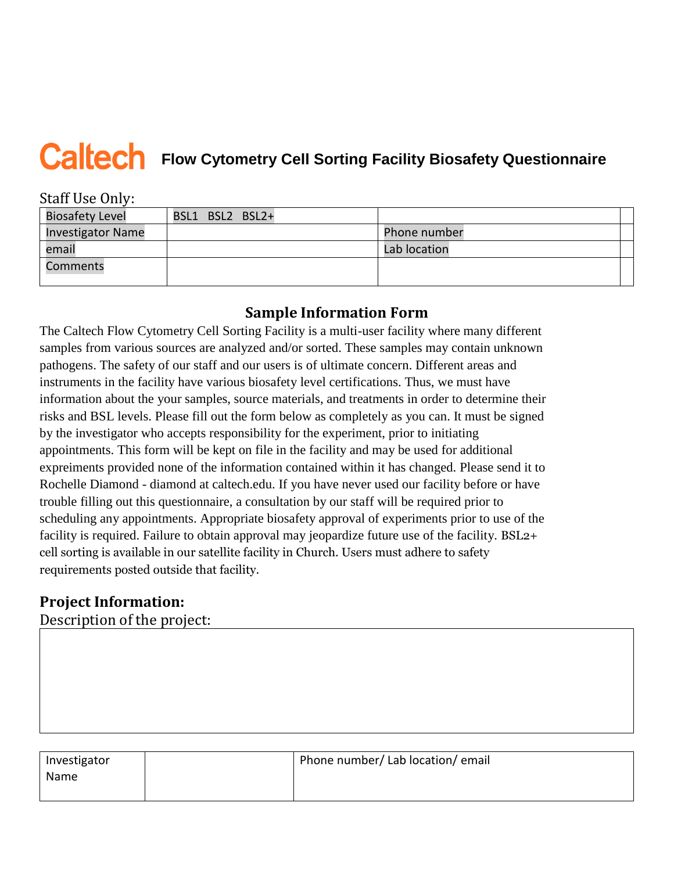# **Caltech** Flow Cytometry Cell Sorting Facility Biosafety Questionnaire

## Staff Use Only:

| <b>Biosafety Level</b>   | BSL1 BSL2 BSL2+ |              |
|--------------------------|-----------------|--------------|
| <b>Investigator Name</b> |                 | Phone number |
| email                    |                 | Lab location |
| Comments                 |                 |              |

### **Sample Information Form**

The Caltech Flow Cytometry Cell Sorting Facility is a multi-user facility where many different samples from various sources are analyzed and/or sorted. These samples may contain unknown pathogens. The safety of our staff and our users is of ultimate concern. Different areas and instruments in the facility have various biosafety level certifications. Thus, we must have information about the your samples, source materials, and treatments in order to determine their risks and BSL levels. Please fill out the form below as completely as you can. It must be signed by the investigator who accepts responsibility for the experiment, prior to initiating appointments. This form will be kept on file in the facility and may be used for additional expreiments provided none of the information contained within it has changed. Please send it to Rochelle Diamond - diamond at caltech.edu. If you have never used our facility before or have trouble filling out this questionnaire, a consultation by our staff will be required prior to scheduling any appointments. Appropriate biosafety approval of experiments prior to use of the facility is required. Failure to obtain approval may jeopardize future use of the facility. BSL2+ cell sorting is available in our satellite facility in Church. Users must adhere to safety requirements posted outside that facility.

#### **Project Information:**

Description of the project:

Investigator Name Phone number/ Lab location/ email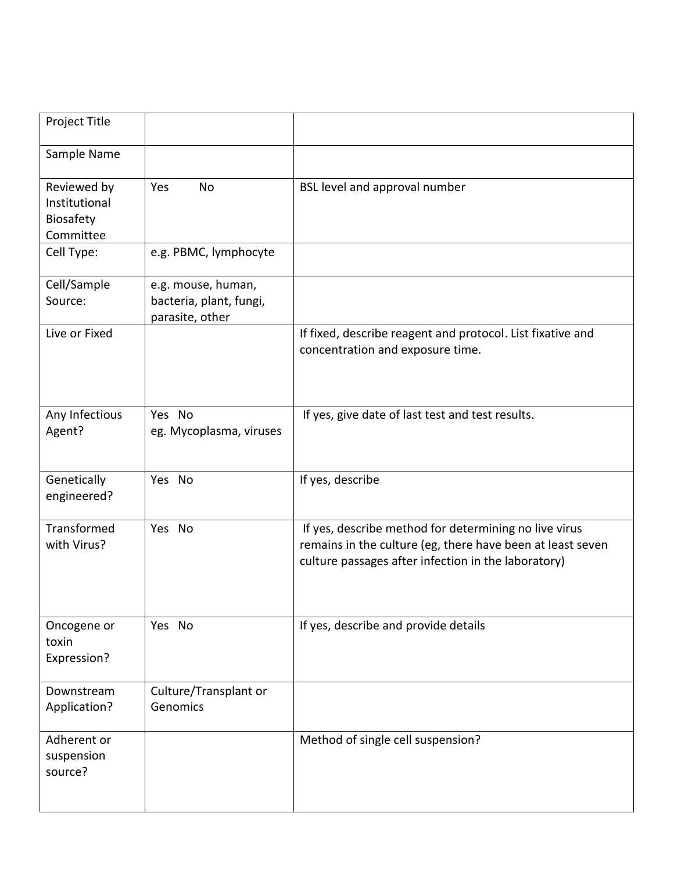| Project Title                                          |                                                                  |                                                                                                                                                                            |
|--------------------------------------------------------|------------------------------------------------------------------|----------------------------------------------------------------------------------------------------------------------------------------------------------------------------|
| Sample Name                                            |                                                                  |                                                                                                                                                                            |
| Reviewed by<br>Institutional<br>Biosafety<br>Committee | Yes<br><b>No</b>                                                 | BSL level and approval number                                                                                                                                              |
| Cell Type:                                             | e.g. PBMC, lymphocyte                                            |                                                                                                                                                                            |
| Cell/Sample<br>Source:                                 | e.g. mouse, human,<br>bacteria, plant, fungi,<br>parasite, other |                                                                                                                                                                            |
| Live or Fixed                                          |                                                                  | If fixed, describe reagent and protocol. List fixative and<br>concentration and exposure time.                                                                             |
| Any Infectious<br>Agent?                               | Yes No<br>eg. Mycoplasma, viruses                                | If yes, give date of last test and test results.                                                                                                                           |
| Genetically<br>engineered?                             | Yes No                                                           | If yes, describe                                                                                                                                                           |
| Transformed<br>with Virus?                             | Yes No                                                           | If yes, describe method for determining no live virus<br>remains in the culture (eg, there have been at least seven<br>culture passages after infection in the laboratory) |
| Oncogene or<br>toxin<br>Expression?                    | Yes No                                                           | If yes, describe and provide details                                                                                                                                       |
| Downstream<br>Application?                             | Culture/Transplant or<br>Genomics                                |                                                                                                                                                                            |
| Adherent or<br>suspension<br>source?                   |                                                                  | Method of single cell suspension?                                                                                                                                          |